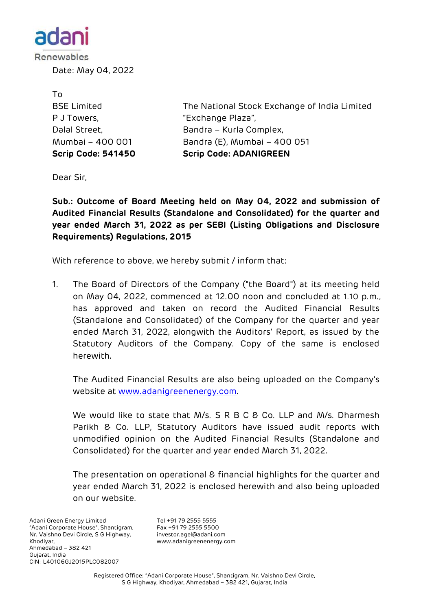

To

BSE Limited The National Stock Exchange of India Limited P J Towers, The Mass of The Manage Plaza", Dalal Street, Bandra – Kurla Complex, Mumbai – 400 001 Bandra (E), Mumbai – 400 051 **Scrip Code: 541450 Scrip Code: ADANIGREEN**

Dear Sir,

**Sub.: Outcome of Board Meeting held on May 04, 2022 and submission of Audited Financial Results (Standalone and Consolidated) for the quarter and year ended March 31, 2022 as per SEBI (Listing Obligations and Disclosure Requirements) Regulations, 2015**

With reference to above, we hereby submit / inform that:

1. The Board of Directors of the Company ("the Board") at its meeting held on May 04, 2022, commenced at 12.00 noon and concluded at 1.10 p.m., has approved and taken on record the Audited Financial Results (Standalone and Consolidated) of the Company for the quarter and year ended March 31, 2022, alongwith the Auditors' Report, as issued by the Statutory Auditors of the Company. Copy of the same is enclosed herewith.

The Audited Financial Results are also being uploaded on the Company's website at [www.adanigreenenergy.com.](http://www.adanigreenenergy.com/)

We would like to state that M/s. S R B C & Co. LLP and M/s. Dharmesh Parikh & Co. LLP, Statutory Auditors have issued audit reports with unmodified opinion on the Audited Financial Results (Standalone and Consolidated) for the quarter and year ended March 31, 2022.

The presentation on operational & financial highlights for the quarter and year ended March 31, 2022 is enclosed herewith and also being uploaded on our website.

Adani Green Energy Limited<br>"Adani Corporate House", Shantigram, Tax +91 79 2555 5500 "Adani Corporate House", Shantigram, Nr. Vaishno Devi Circle, S G Highway, investor.agel@adani.com Ahmedabad – 382 421 Gujarat, India CIN: L40106GJ2015PLC082007

www.adanigreenenergy.com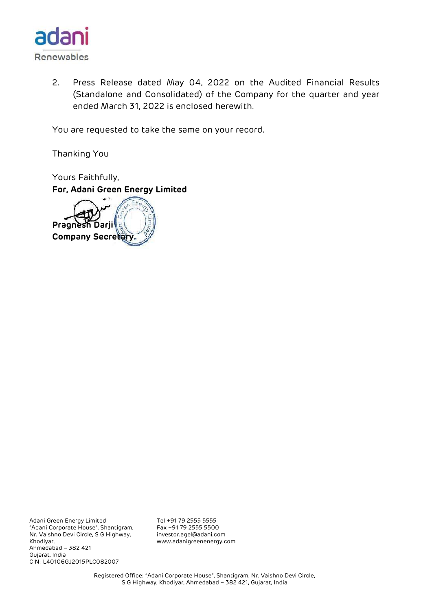

2. Press Release dated May 04, 2022 on the Audited Financial Results (Standalone and Consolidated) of the Company for the quarter and year ended March 31, 2022 is enclosed herewith.

You are requested to take the same on your record.

Thanking You

Yours Faithfully, **For, Adani Green Energy Limited**

**Pragnesh Darji Company Secretary**

Adani Green Energy Limited Tel +91 79 2555 5555<br>"Adani Corporate House", Shantigram, Fax +91 79 2555 5500 "Adani Corporate House", Shantigram, Fax +91 79 2555 5500 Nr. Vaishno Devi Circle, S G Highway,<br>Khodiyar, Ahmedabad – 382 421 Gujarat, India CIN: L40106GJ2015PLC082007

www.adanigreenenergy.com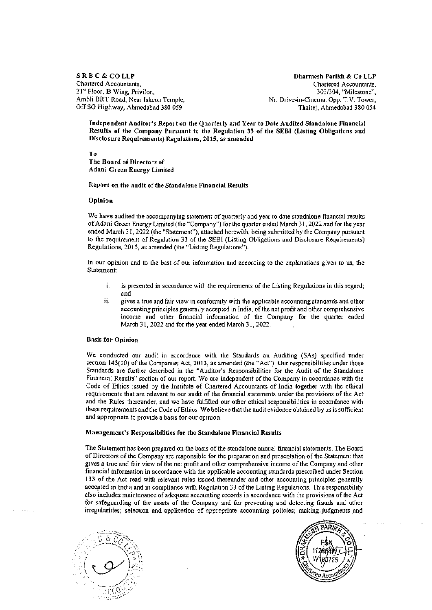**SRB C& CO LLP**  Chartered Accountants, 21" Floor, B Wing, Privilon, Ambli BRT Road, Near Iskcon Temple, OffSG Highway, Ahmedabad 380 059

**Dharmesh Parikh** & **Co LLP**  Chartered Accountants, 303/304, "Milestone", Nr. Drive-in-Cinema, Opp. T.V. Tower, Thaltej, Ahmedabad 380 054

**Independent Auditor's Report on the Quarterly and Year to Date Audited Standalone Financial Results of the Company Pursuant to the Regulation 33 of the SEBI (Listing Obligations and Disclosure Requirements) Regulations, 2015, as amended** 

**To The Board of Directors of Adani Green Energy Limited** 

**Report on the audit of the Standalone Financial Results** 

### **Opinion**

We have audited the accompanying statement of quarterly and year to date standalone financial results of Adani Green Energy Limited (the "Company") for the quarter ended March 31, 2022 and for the year ended March 31, 2022 (the "Statement"), attached herewith, being submitted by the Company pursuant to the requirement of Regulation 33 of the SEBI (Listing Obligations and Disclosure Requirements) Regulations, 2015, as amended (the "Listing Regulations").

In our opinion and to the best of our information and according to the explanations given to us, the Statement

- 1. is presented in accordance with the requirements of the Listing Regulations in this regard; and
- ii. gives a true and fair view in conformity with the applicable accounting standards and other accounting principles generally accepted in India, of the net profit and other comprehensive income and other financial information of the Company for the quarter ended March 31, 2022 and for the year ended March 3 I, 2022.

## **Basis for Opinion**

We conducted our audit in accordance with the Standards on Auditing (SAs) specified under section 143(10) of the Companies Act, 2013, as amended (the "Act"). Our responsibilities under those Standards are further described in the "Auditor's Responsibilities for the Audit of the Standalone Financial Results" section of our report. We are independent of the Company in accordance with the Code of Ethics issued by the Institute of Chartered Accountants of India together with the ethical requirements that are relevant to our audit of the financial statements under the provisions of the Act and the Rules thereunder, and we have fulfilled our other ethical responsibilities in accordance with these requirements and the Code of Ethics. We believe that the audit evidence obtained by us is sufficient and appropriate to provide a basis for our opinion.

#### **Management's Responsibilities for the Standalone Financial Results**

The Statement has been prepared on the basis of the standalone annual financial statements. The Board of Directors of the Company are responsible for the preparation and presentation of the Statement that gives a true and fair view of the net profit and other comprehensive income of the Company and other financial information in accordance with the applicable accounting standards prescribed under Section 133 of the Act read with relevant rules issued thereunder and other accounting principles generally accepted in India and in compliance with Regulation 33 of the Listing Regulations. This responsibility also includes maintenance of adequate accounting records in accordance with the provisions of the Act for safeguarding of the assets of the Company and for preventing and detecting frauds and other irregularities; selection and application cf appropriate accounting policies; making.judgments \_and



المواقف المنافر

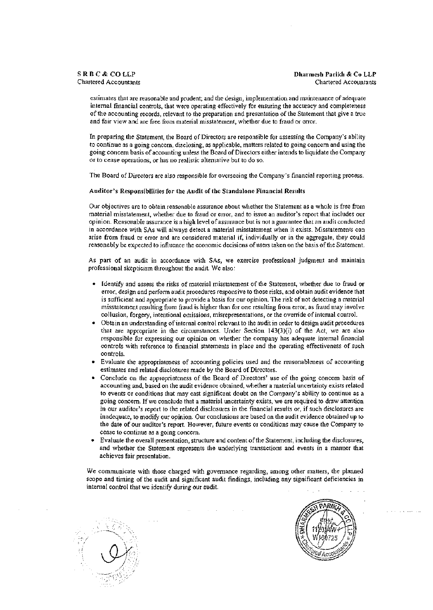estimates that are reasonable and prudent; and the design, implementation and maintenance of adequate internal financial controls, that were operating effectively for ensuring the accuracy and completeness of the accounting records, relevant to the preparation and presentation of the Statement that give a trne and fair view and are free from material misstatement, whether due to fraud or error.

In preparing the Statement, the Board of Directors are responsible for assessing the Company's ability to continue as a going concern, disclosing, as applicable, matters related to going concern and using the going concern basis of accounting unless the Board of Directors either intends to liquidate the Company or to cease operations, or has no realistic alternative but to do so.

The Board of Directors are also responsible for overseeing the Company's financial reporting process.

#### **Auditor's Responsibilities for the Audit of the Standalone Financial Results**

Our objectives arc to obtain reasonable assurance about whether the Statement as a whole is free from material misstatement, whether due to fraud or error, and to issue an auditor's report that includes our opinion. Reasonable assurance is a high level of assurance but is not a guarantee that an audit conducted in accordance with SAs will always detect a material misstatement when it exists. Misstatements can arise from fraud or error and are considered material if, individually or in the aggregate, they could reasonably be expected to influence the economic decisions of users taken on the basis of the Statement.

As part of an audit in accordance with SAs, we exercise professional judgment and maintain professional skepticism throughout the audit. We also:

- Identify and assess the risks of material misstatement of the Statement, whether due to fraud or error, design and perform audit procedures responsive to those risks, and obtain audit evidence that is sufficient and appropriate to provide a basis for our opinion. The risk of not detecting a material misstatement resulting from fraud is higher than for one resulting from error, as fraud may involve collusion, forgery, intentional omissions, misrepresentations, or the override of internal control.
- Obtain an understanding of internal control relevant to the audit in order to design audit procedures that are appropriate in the circumstances. Under Section 143(3)(i) of the Act, we are also responsible for expressing our opinion on whether the company has adequate internal financial controls with reference to financial statements in place and the operating effectiveness of such controls.
- Evaluate the appropriateness of accounting policies used and the reasonableness of accounting estimates and related disclosures made by the Board of Directors.
- Conclude on the appropriateness of the Board of Directors' use of the going concern basis of accounting and, based on the audit evidence obtained, whether a material uncertainty exists related to events or conditions that may cast significant doubt on the Company's ability to continue as a going concern. If we conclude that a material uncertainty exists, we are required to draw attention in our auditor's report to the related disclosures in the financial results or, if such disclosures are inadequate, to modify our opinion. Our conclusions are based on the audit evidence obtained up to the date of our auditor's report. However, future events or conditions may cause the Company to cease to continue as a going concern.
- Evaluate the overall presentation, structure and content of the Statement, including the disclosures, and whether the Statement represents the underlying transactions and events in a manner that achieves fair presentation.

We communicate with those charged with governance regarding, among other matters, the planned scope and timing of the audit and significant audit findings, including any significant deficiencies in internal control that we identify during our audit.





and the contract and con-